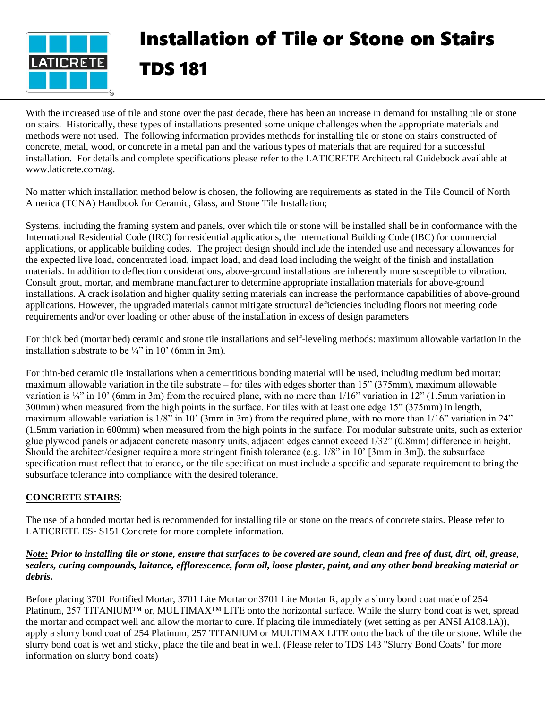

# Installation of Tile or Stone on Stairs TDS 181

With the increased use of tile and stone over the past decade, there has been an increase in demand for installing tile or stone on stairs. Historically, these types of installations presented some unique challenges when the appropriate materials and methods were not used. The following information provides methods for installing tile or stone on stairs constructed of concrete, metal, wood, or concrete in a metal pan and the various types of materials that are required for a successful installation. For details and complete specifications please refer to the LATICRETE Architectural Guidebook available at www.laticrete.com/ag.

No matter which installation method below is chosen, the following are requirements as stated in the Tile Council of North America (TCNA) Handbook for Ceramic, Glass, and Stone Tile Installation;

Systems, including the framing system and panels, over which tile or stone will be installed shall be in conformance with the International Residential Code (IRC) for residential applications, the International Building Code (IBC) for commercial applications, or applicable building codes. The project design should include the intended use and necessary allowances for the expected live load, concentrated load, impact load, and dead load including the weight of the finish and installation materials. In addition to deflection considerations, above-ground installations are inherently more susceptible to vibration. Consult grout, mortar, and membrane manufacturer to determine appropriate installation materials for above-ground installations. A crack isolation and higher quality setting materials can increase the performance capabilities of above-ground applications. However, the upgraded materials cannot mitigate structural deficiencies including floors not meeting code requirements and/or over loading or other abuse of the installation in excess of design parameters

For thick bed (mortar bed) ceramic and stone tile installations and self-leveling methods: maximum allowable variation in the installation substrate to be  $\frac{1}{4}$ " in 10° (6mm in 3m).

For thin-bed ceramic tile installations when a cementitious bonding material will be used, including medium bed mortar: maximum allowable variation in the tile substrate – for tiles with edges shorter than 15" (375mm), maximum allowable variation is  $\frac{1}{4}$  in 10' (6mm in 3m) from the required plane, with no more than  $1/16$ " variation in 12" (1.5mm variation in 300mm) when measured from the high points in the surface. For tiles with at least one edge 15" (375mm) in length, maximum allowable variation is 1/8" in 10' (3mm in 3m) from the required plane, with no more than 1/16" variation in 24" (1.5mm variation in 600mm) when measured from the high points in the surface. For modular substrate units, such as exterior glue plywood panels or adjacent concrete masonry units, adjacent edges cannot exceed 1/32" (0.8mm) difference in height. Should the architect/designer require a more stringent finish tolerance (e.g. 1/8" in 10' [3mm in 3m]), the subsurface specification must reflect that tolerance, or the tile specification must include a specific and separate requirement to bring the subsurface tolerance into compliance with the desired tolerance.

## **CONCRETE STAIRS**:

The use of a bonded mortar bed is recommended for installing tile or stone on the treads of concrete stairs. Please refer to LATICRETE ES- S151 Concrete for more complete information.

### *Note: Prior to installing tile or stone, ensure that surfaces to be covered are sound, clean and free of dust, dirt, oil, grease, sealers, curing compounds, laitance, efflorescence, form oil, loose plaster, paint, and any other bond breaking material or debris.*

Before placing 3701 Fortified Mortar, 3701 Lite Mortar or 3701 Lite Mortar R, apply a slurry bond coat made of 254 Platinum, 257 TITANIUM™ or, MULTIMAX™ LITE onto the horizontal surface. While the slurry bond coat is wet, spread the mortar and compact well and allow the mortar to cure. If placing tile immediately (wet setting as per ANSI A108.1A)), apply a slurry bond coat of 254 Platinum, 257 TITANIUM or MULTIMAX LITE onto the back of the tile or stone. While the slurry bond coat is wet and sticky, place the tile and beat in well. (Please refer to TDS 143 "Slurry Bond Coats" for more information on slurry bond coats)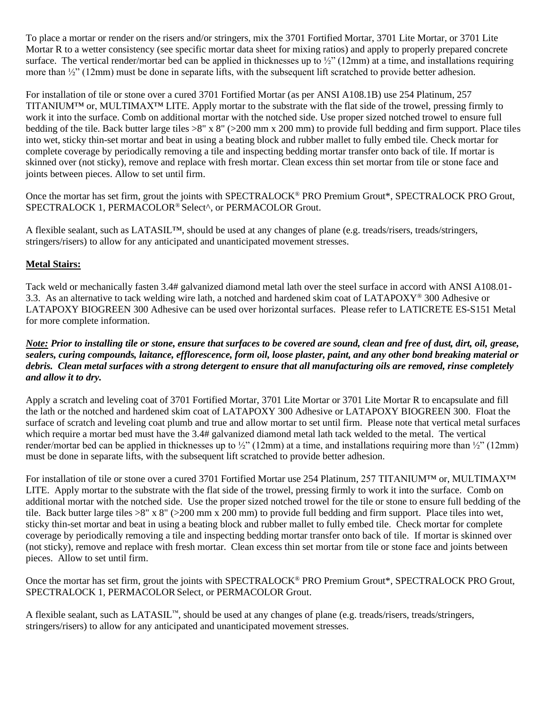To place a mortar or render on the risers and/or stringers, mix the 3701 Fortified Mortar, 3701 Lite Mortar, or 3701 Lite Mortar R to a wetter consistency (see specific mortar data sheet for mixing ratios) and apply to properly prepared concrete surface. The vertical render/mortar bed can be applied in thicknesses up to  $\frac{1}{2}$ " (12mm) at a time, and installations requiring more than  $\frac{1}{2}$ " (12mm) must be done in separate lifts, with the subsequent lift scratched to provide better adhesion.

For installation of tile or stone over a cured 3701 Fortified Mortar (as per ANSI A108.1B) use 254 Platinum, 257 TITANIUM™ or, MULTIMAX™ LITE. Apply mortar to the substrate with the flat side of the trowel, pressing firmly to work it into the surface. Comb on additional mortar with the notched side. Use proper sized notched trowel to ensure full bedding of the tile. Back butter large tiles >8" x 8" (>200 mm x 200 mm) to provide full bedding and firm support. Place tiles into wet, sticky thin-set mortar and beat in using a beating block and rubber mallet to fully embed tile. Check mortar for complete coverage by periodically removing a tile and inspecting bedding mortar transfer onto back of tile. If mortar is skinned over (not sticky), remove and replace with fresh mortar. Clean excess thin set mortar from tile or stone face and joints between pieces. Allow to set until firm.

Once the mortar has set firm, grout the joints with SPECTRALOCK® PRO Premium Grout\*, SPECTRALOCK PRO Grout, SPECTRALOCK 1, PERMACOLOR® Select^, or PERMACOLOR Grout.

A flexible sealant, such as LATASIL™, should be used at any changes of plane (e.g. treads/risers, treads/stringers, stringers/risers) to allow for any anticipated and unanticipated movement stresses.

## **Metal Stairs:**

Tack weld or mechanically fasten 3.4# galvanized diamond metal lath over the steel surface in accord with ANSI A108.01- 3.3. As an alternative to tack welding wire lath, a notched and hardened skim coat of LATAPOXY® 300 Adhesive or LATAPOXY BIOGREEN 300 Adhesive can be used over horizontal surfaces. Please refer to LATICRETE ES-S151 Metal for more complete information.

### *Note: Prior to installing tile or stone, ensure that surfaces to be covered are sound, clean and free of dust, dirt, oil, grease, sealers, curing compounds, laitance, efflorescence, form oil, loose plaster, paint, and any other bond breaking material or debris. Clean metal surfaces with a strong detergent to ensure that all manufacturing oils are removed, rinse completely and allow it to dry.*

Apply a scratch and leveling coat of 3701 Fortified Mortar, 3701 Lite Mortar or 3701 Lite Mortar R to encapsulate and fill the lath or the notched and hardened skim coat of LATAPOXY 300 Adhesive or LATAPOXY BIOGREEN 300. Float the surface of scratch and leveling coat plumb and true and allow mortar to set until firm. Please note that vertical metal surfaces which require a mortar bed must have the 3.4# galvanized diamond metal lath tack welded to the metal. The vertical render/mortar bed can be applied in thicknesses up to  $\frac{1}{2}$ " (12mm) at a time, and installations requiring more than  $\frac{1}{2}$ " (12mm) must be done in separate lifts, with the subsequent lift scratched to provide better adhesion.

For installation of tile or stone over a cured 3701 Fortified Mortar use 254 Platinum, 257 TITANIUM™ or, MULTIMAX™ LITE. Apply mortar to the substrate with the flat side of the trowel, pressing firmly to work it into the surface. Comb on additional mortar with the notched side. Use the proper sized notched trowel for the tile or stone to ensure full bedding of the tile. Back butter large tiles  $>8$ " x  $8$ " ( $>200$  mm x 200 mm) to provide full bedding and firm support. Place tiles into wet, sticky thin-set mortar and beat in using a beating block and rubber mallet to fully embed tile. Check mortar for complete coverage by periodically removing a tile and inspecting bedding mortar transfer onto back of tile. If mortar is skinned over (not sticky), remove and replace with fresh mortar. Clean excess thin set mortar from tile or stone face and joints between pieces. Allow to set until firm.

Once the mortar has set firm, grout the joints with SPECTRALOCK® PRO Premium Grout\*, SPECTRALOCK PRO Grout, SPECTRALOCK 1, PERMACOLOR Select, or PERMACOLOR Grout.

A flexible sealant, such as LATASIL™, should be used at any changes of plane (e.g. treads/risers, treads/stringers, stringers/risers) to allow for any anticipated and unanticipated movement stresses.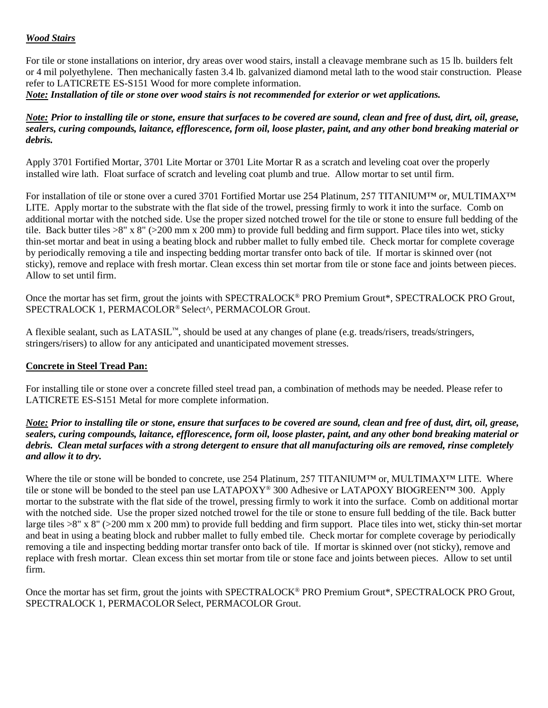#### *Wood Stairs*

For tile or stone installations on interior, dry areas over wood stairs, install a cleavage membrane such as 15 lb. builders felt or 4 mil polyethylene. Then mechanically fasten 3.4 lb. galvanized diamond metal lath to the wood stair construction. Please refer to LATICRETE ES-S151 Wood for more complete information.

*Note: Installation of tile or stone over wood stairs is not recommended for exterior or wet applications.* 

#### *Note: Prior to installing tile or stone, ensure that surfaces to be covered are sound, clean and free of dust, dirt, oil, grease, sealers, curing compounds, laitance, efflorescence, form oil, loose plaster, paint, and any other bond breaking material or debris.*

Apply 3701 Fortified Mortar, 3701 Lite Mortar or 3701 Lite Mortar R as a scratch and leveling coat over the properly installed wire lath. Float surface of scratch and leveling coat plumb and true. Allow mortar to set until firm.

For installation of tile or stone over a cured 3701 Fortified Mortar use 254 Platinum, 257 TITANIUM™ or, MULTIMAX™ LITE. Apply mortar to the substrate with the flat side of the trowel, pressing firmly to work it into the surface. Comb on additional mortar with the notched side. Use the proper sized notched trowel for the tile or stone to ensure full bedding of the tile. Back butter tiles  $>8$ " x 8" ( $>200$  mm x 200 mm) to provide full bedding and firm support. Place tiles into wet, sticky thin-set mortar and beat in using a beating block and rubber mallet to fully embed tile. Check mortar for complete coverage by periodically removing a tile and inspecting bedding mortar transfer onto back of tile. If mortar is skinned over (not sticky), remove and replace with fresh mortar. Clean excess thin set mortar from tile or stone face and joints between pieces. Allow to set until firm.

Once the mortar has set firm, grout the joints with SPECTRALOCK® PRO Premium Grout\*, SPECTRALOCK PRO Grout, SPECTRALOCK 1, PERMACOLOR® Select^, PERMACOLOR Grout.

A flexible sealant, such as LATASIL™, should be used at any changes of plane (e.g. treads/risers, treads/stringers, stringers/risers) to allow for any anticipated and unanticipated movement stresses.

## **Concrete in Steel Tread Pan:**

For installing tile or stone over a concrete filled steel tread pan, a combination of methods may be needed. Please refer to LATICRETE ES-S151 Metal for more complete information.

### *Note: Prior to installing tile or stone, ensure that surfaces to be covered are sound, clean and free of dust, dirt, oil, grease, sealers, curing compounds, laitance, efflorescence, form oil, loose plaster, paint, and any other bond breaking material or debris. Clean metal surfaces with a strong detergent to ensure that all manufacturing oils are removed, rinse completely and allow it to dry.*

Where the tile or stone will be bonded to concrete, use 254 Platinum, 257 TITANIUM™ or, MULTIMAX<sup>™</sup> LITE. Where tile or stone will be bonded to the steel pan use LATAPOXY® 300 Adhesive or LATAPOXY BIOGREEN™ 300. Apply mortar to the substrate with the flat side of the trowel, pressing firmly to work it into the surface. Comb on additional mortar with the notched side. Use the proper sized notched trowel for the tile or stone to ensure full bedding of the tile. Back butter large tiles >8" x 8" (>200 mm x 200 mm) to provide full bedding and firm support. Place tiles into wet, sticky thin-set mortar and beat in using a beating block and rubber mallet to fully embed tile. Check mortar for complete coverage by periodically removing a tile and inspecting bedding mortar transfer onto back of tile. If mortar is skinned over (not sticky), remove and replace with fresh mortar. Clean excess thin set mortar from tile or stone face and joints between pieces. Allow to set until firm.

Once the mortar has set firm, grout the joints with SPECTRALOCK® PRO Premium Grout\*, SPECTRALOCK PRO Grout, SPECTRALOCK 1, PERMACOLOR Select, PERMACOLOR Grout.